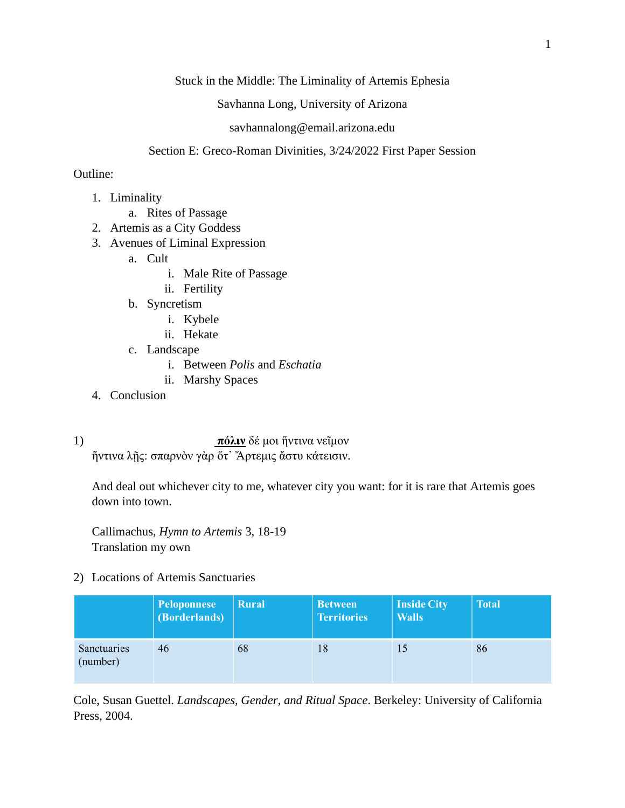Stuck in the Middle: The Liminality of Artemis Ephesia

Savhanna Long, University of Arizona

## savhannalong@email.arizona.edu

## Section E: Greco-Roman Divinities, 3/24/2022 First Paper Session

## Outline:

- 1. Liminality
	- a. Rites of Passage
- 2. Artemis as a City Goddess
- 3. Avenues of Liminal Expression
	- a. Cult
		- i. Male Rite of Passage
		- ii. Fertility
	- b. Syncretism
		- i. Kybele
		- ii. Hekate
	- c. Landscape
		- i. Between *Polis* and *Eschatia*
		- ii. Marshy Spaces
- 4. Conclusion
- 1) **πόλιν** δέ μοι ἥντινα νεῖμον ἥντινα λῇς: σπαρνὸν γὰρ ὅτ᾽ Ἄρτεμις ἄστυ κάτεισιν.

And deal out whichever city to me, whatever city you want: for it is rare that Artemis goes down into town.

Callimachus, *Hymn to Artemis* 3, 18-19 Translation my own

2) Locations of Artemis Sanctuaries

|                         | Peloponnese<br>(Borderlands) | <b>Rural</b> | <b>Between</b><br><b>Territories</b> | Inside City<br><b>Walls</b> | <b>Total</b> |
|-------------------------|------------------------------|--------------|--------------------------------------|-----------------------------|--------------|
| Sanctuaries<br>(number) | 46                           | 68           | 18                                   | 15                          | 86           |

Cole, Susan Guettel. *Landscapes, Gender, and Ritual Space*. Berkeley: University of California Press, 2004.